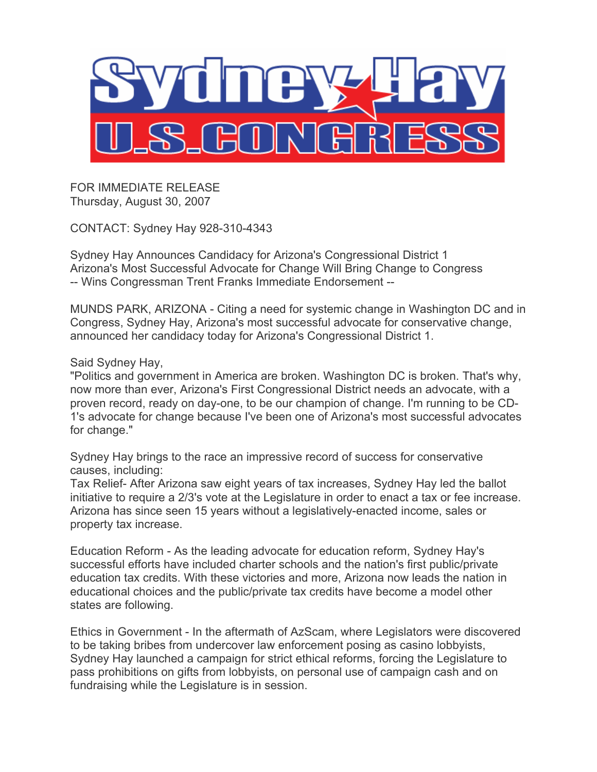

FOR IMMEDIATE RELEASE Thursday, August 30, 2007

CONTACT: Sydney Hay 928-310-4343

Sydney Hay Announces Candidacy for Arizona's Congressional District 1 Arizona's Most Successful Advocate for Change Will Bring Change to Congress -- Wins Congressman Trent Franks Immediate Endorsement --

MUNDS PARK, ARIZONA - Citing a need for systemic change in Washington DC and in Congress, Sydney Hay, Arizona's most successful advocate for conservative change, announced her candidacy today for Arizona's Congressional District 1.

## Said Sydney Hay,

"Politics and government in America are broken. Washington DC is broken. That's why, now more than ever, Arizona's First Congressional District needs an advocate, with a proven record, ready on day-one, to be our champion of change. I'm running to be CD-1's advocate for change because I've been one of Arizona's most successful advocates for change."

Sydney Hay brings to the race an impressive record of success for conservative causes, including:

Tax Relief- After Arizona saw eight years of tax increases, Sydney Hay led the ballot initiative to require a 2/3's vote at the Legislature in order to enact a tax or fee increase. Arizona has since seen 15 years without a legislatively-enacted income, sales or property tax increase.

Education Reform - As the leading advocate for education reform, Sydney Hay's successful efforts have included charter schools and the nation's first public/private education tax credits. With these victories and more, Arizona now leads the nation in educational choices and the public/private tax credits have become a model other states are following.

Ethics in Government - In the aftermath of AzScam, where Legislators were discovered to be taking bribes from undercover law enforcement posing as casino lobbyists, Sydney Hay launched a campaign for strict ethical reforms, forcing the Legislature to pass prohibitions on gifts from lobbyists, on personal use of campaign cash and on fundraising while the Legislature is in session.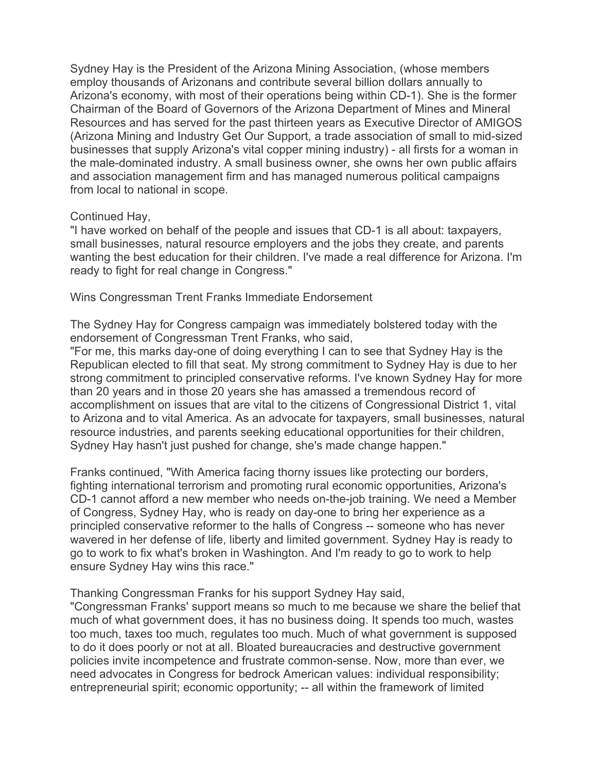Sydney Hay is the President of the Arizona Mining Association, (whose members employ thousands of Arizonans and contribute several billion dollars annually to Arizona's economy, with most of their operations being within CD-1). She is the former Chairman of the Board of Governors of the Arizona Department of Mines and Mineral Resources and has served for the past thirteen years as Executive Director of AMIGOS (Arizona Mining and Industry Get Our Support, a trade association of small to mid-sized businesses that supply Arizona's vital copper mining industry) - all firsts for a woman in the male-dominated industry. A small business owner, she owns her own public affairs and association management firm and has managed numerous political campaigns from local to national in scope.

## Continued Hay,

"I have worked on behalf of the people and issues that CD-1 is all about: taxpayers, small businesses, natural resource employers and the jobs they create, and parents wanting the best education for their children. I've made a real difference for Arizona. I'm ready to fight for real change in Congress."

Wins Congressman Trent Franks Immediate Endorsement

The Sydney Hay for Congress campaign was immediately bolstered today with the endorsement of Congressman Trent Franks, who said,

"For me, this marks day-one of doing everything I can to see that Sydney Hay is the Republican elected to fill that seat. My strong commitment to Sydney Hay is due to her strong commitment to principled conservative reforms. I've known Sydney Hay for more than 20 years and in those 20 years she has amassed a tremendous record of accomplishment on issues that are vital to the citizens of Congressional District 1, vital to Arizona and to vital America. As an advocate for taxpayers, small businesses, natural resource industries, and parents seeking educational opportunities for their children, Sydney Hay hasn't just pushed for change, she's made change happen."

Franks continued, "With America facing thorny issues like protecting our borders, fighting international terrorism and promoting rural economic opportunities, Arizona's CD-1 cannot afford a new member who needs on-the-job training. We need a Member of Congress, Sydney Hay, who is ready on day-one to bring her experience as a principled conservative reformer to the halls of Congress -- someone who has never wavered in her defense of life, liberty and limited government. Sydney Hay is ready to go to work to fix what's broken in Washington. And I'm ready to go to work to help ensure Sydney Hay wins this race."

Thanking Congressman Franks for his support Sydney Hay said,

"Congressman Franks' support means so much to me because we share the belief that much of what government does, it has no business doing. It spends too much, wastes too much, taxes too much, regulates too much. Much of what government is supposed to do it does poorly or not at all. Bloated bureaucracies and destructive government policies invite incompetence and frustrate common-sense. Now, more than ever, we need advocates in Congress for bedrock American values: individual responsibility; entrepreneurial spirit; economic opportunity; -- all within the framework of limited